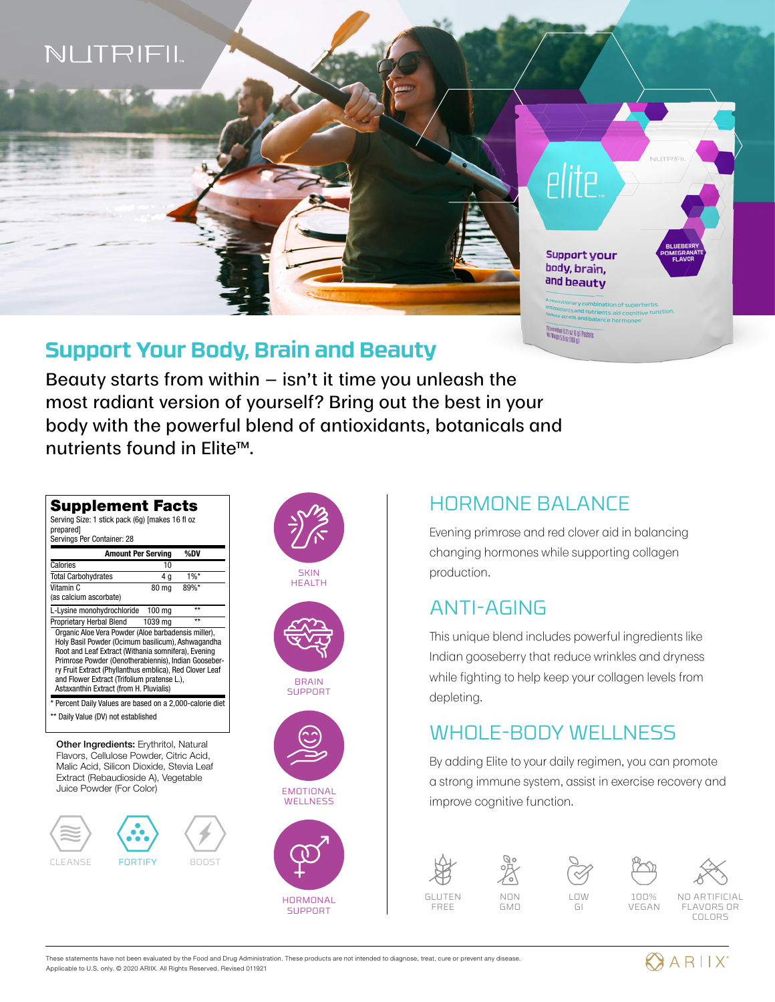

### **Support Your Body, Brain and Beauty**

Beauty starts from within  $-$  isn't it time you unleash the most radiant version of yourself? Bring out the best in your body with the powerful blend of antioxidants, botanicals and nutrients found in Elite™.

|                                                                                                                                                                                                                                      | <b>Amount Per Serving</b> | %DV          |                                                         |
|--------------------------------------------------------------------------------------------------------------------------------------------------------------------------------------------------------------------------------------|---------------------------|--------------|---------------------------------------------------------|
| Calories                                                                                                                                                                                                                             | 10                        |              |                                                         |
| <b>Total Carbohydrates</b>                                                                                                                                                                                                           | 4 g                       | 1%           |                                                         |
| Vitamin C                                                                                                                                                                                                                            | <b>80 ma</b>              | 89%*         |                                                         |
| (as calcium ascorbate)                                                                                                                                                                                                               |                           |              |                                                         |
| L-Lysine monohydrochloride                                                                                                                                                                                                           | $100 \text{ mg}$          | $\star\star$ |                                                         |
| Proprietary Herbal Blend<br>Organic Aloe Vera Powder (Aloe barbadensis miller),                                                                                                                                                      | 1039 mg                   | $\star\star$ |                                                         |
|                                                                                                                                                                                                                                      |                           |              | ry Fruit Extract (Phyllanthus emblica), Red Clover Leaf |
| and Flower Extract (Trifolium pratense L.),<br>Astaxanthin Extract (from H. Pluvialis)<br>* Percent Daily Values are based on a 2,000-calorie diet                                                                                   |                           |              |                                                         |
| Daily Value (DV) not established<br>Other Ingredients: Erythritol, Natural<br>Flavors, Cellulose Powder, Citric Acid.<br>Malic Acid, Silicon Dioxide, Stevia Leaf<br>Extract (Rebaudioside A), Vegetable<br>Juice Powder (For Color) |                           |              |                                                         |



### HORMONE BALANCE

Evening primrose and red clover aid in balancing changing hormones while supporting collagen production.

# ANTI-AGING

This unique blend includes powerful ingredients like Indian gooseberry that reduce wrinkles and dryness while fighting to help keep your collagen levels from depleting.

# WHOLE-BODY WELLNESS

By adding Elite to your daily regimen, you can promote a strong immune system, assist in exercise recovery and improve cognitive function.





NON GMO



100% VEGAN NO ARTIFICIAL

FLAVORS OR COLORS



These statements have not been evaluated by the Food and Drug Administration. These products are not intended to diagnose, treat, cure or prevent any disease. Applicable to U.S. only. © 2020 ARIIX. All Rights Reserved. Revised 011921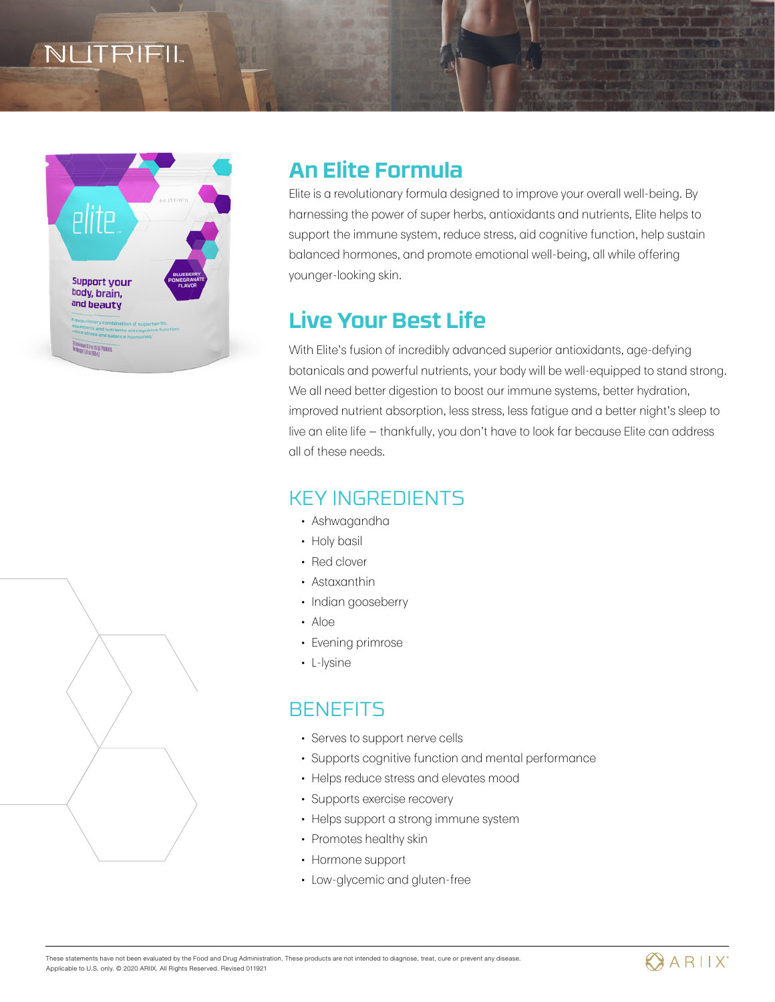# ITRIFIL



# **An Elite Formula**

Elite is a revolutionary formula designed to improve your overall well-being. By harnessing the power of super herbs, antioxidants and nutrients, Elite helps to support the immune system, reduce stress, aid cognitive function, help sustain balanced hormones, and promote emotional well-being, all while offering younger-looking skin.

# **Live Your Best Life**

With Elite's fusion of incredibly advanced superior antioxidants, age-defying botanicals and powerful nutrients, your body will be well-equipped to stand strong. We all need better digestion to boost our immune systems, better hydration, improved nutrient absorption, less stress, less fatigue and a better night's sleep to live an elite life — thankfully, you don't have to look far because Elite can address all of these needs.

### KEY INGREDIENTS

- Ashwagandha
- Holy basil
- Red clover
- Astaxanthin
- Indian gooseberry
- Aloe
- Evening primrose
- L-lysine

### BENEFITS

- Serves to support nerve cells
- Supports cognitive function and mental performance
- Helps reduce stress and elevates mood
- Supports exercise recovery
- Helps support a strong immune system
- Promotes healthy skin
- Hormone support
- Low-glycemic and gluten-free



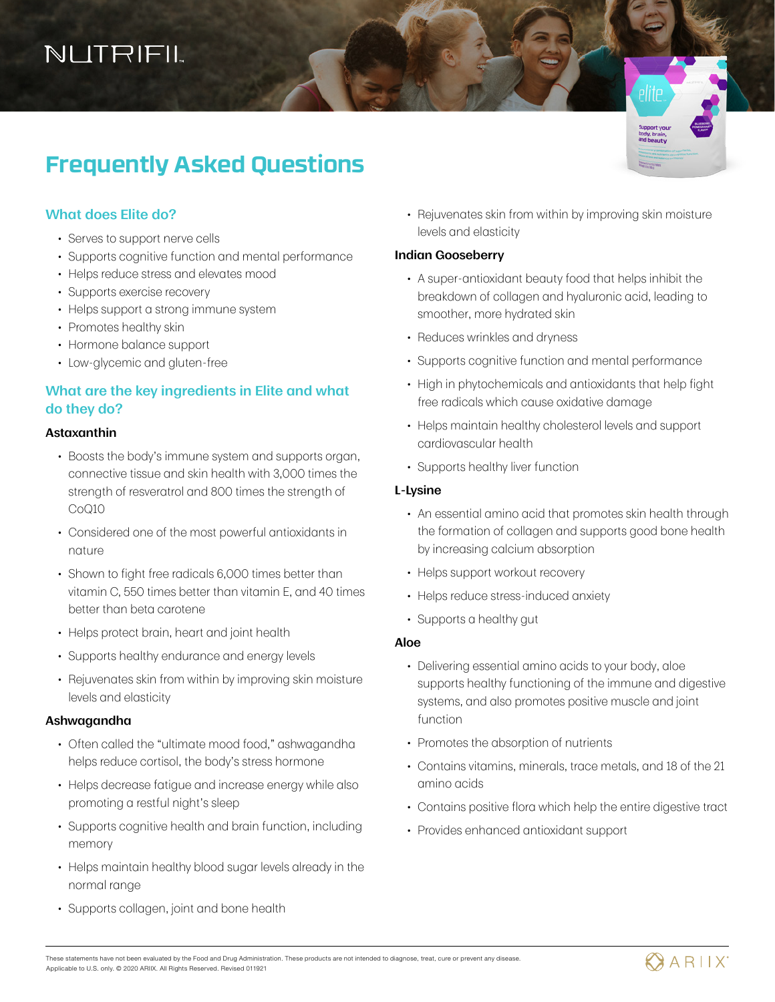# NUTRIFIL

# **Frequently Asked Questions**

#### **What does Elite do?**

- Serves to support nerve cells
- Supports cognitive function and mental performance
- Helps reduce stress and elevates mood
- Supports exercise recovery
- Helps support a strong immune system
- Promotes healthy skin
- Hormone balance support
- Low-glycemic and gluten-free

#### **What are the key ingredients in Elite and what do they do?**

#### **Astaxanthin**

- Boosts the body's immune system and supports organ, connective tissue and skin health with 3,000 times the strength of resveratrol and 800 times the strength of CoQ10
- Considered one of the most powerful antioxidants in nature
- Shown to fight free radicals 6,000 times better than vitamin C, 550 times better than vitamin E, and 40 times better than beta carotene
- Helps protect brain, heart and joint health
- Supports healthy endurance and energy levels
- Rejuvenates skin from within by improving skin moisture levels and elasticity

#### **Ashwagandha**

- Often called the "ultimate mood food," ashwagandha helps reduce cortisol, the body's stress hormone
- Helps decrease fatigue and increase energy while also promoting a restful night's sleep
- Supports cognitive health and brain function, including memory
- Helps maintain healthy blood sugar levels already in the normal range
- Supports collagen, joint and bone health

• Rejuvenates skin from within by improving skin moisture levels and elasticity

#### **Indian Gooseberry**

- A super-antioxidant beauty food that helps inhibit the breakdown of collagen and hyaluronic acid, leading to smoother, more hydrated skin
- Reduces wrinkles and dryness
- Supports cognitive function and mental performance
- High in phytochemicals and antioxidants that help fight free radicals which cause oxidative damage
- Helps maintain healthy cholesterol levels and support cardiovascular health
- Supports healthy liver function

#### **L-Lysine**

- An essential amino acid that promotes skin health through the formation of collagen and supports good bone health by increasing calcium absorption
- Helps support workout recovery
- Helps reduce stress-induced anxiety
- Supports a healthy gut

#### **Aloe**

- Delivering essential amino acids to your body, aloe supports healthy functioning of the immune and digestive systems, and also promotes positive muscle and joint function
- Promotes the absorption of nutrients
- Contains vitamins, minerals, trace metals, and 18 of the 21 amino acids
- Contains positive flora which help the entire digestive tract
- Provides enhanced antioxidant support